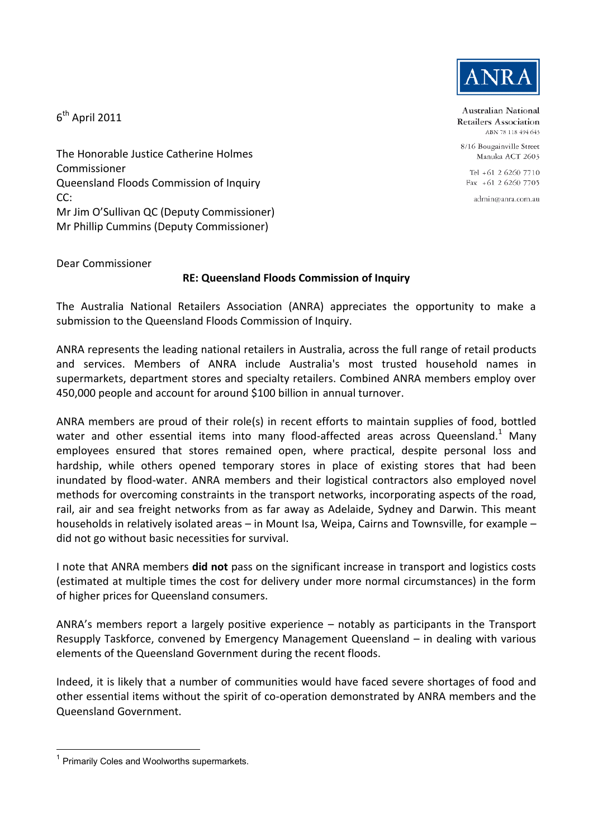

Australian National Retailers Association ABN 78 118 494 643

8/16 Bougainville Street Manuka ACT 2603

Tel +61 2 6260 7710  $Fax + 61$  2 6260 7705

admin@anra.com.au

The Honorable Justice Catherine Holmes Commissioner Queensland Floods Commission of Inquiry CC: Mr Jim O'Sullivan QC (Deputy Commissioner) Mr Phillip Cummins (Deputy Commissioner)

Dear Commissioner

 $6^{\text{th}}$  April 2011

## **RE: Queensland Floods Commission of Inquiry**

The Australia National Retailers Association (ANRA) appreciates the opportunity to make a submission to the Queensland Floods Commission of Inquiry.

ANRA represents the leading national retailers in Australia, across the full range of retail products and services. Members of ANRA include Australia's most trusted household names in supermarkets, department stores and specialty retailers. Combined ANRA members employ over 450,000 people and account for around \$100 billion in annual turnover.

ANRA members are proud of their role(s) in recent efforts to maintain supplies of food, bottled water and other essential items into many flood-affected areas across Queensland.<sup>1</sup> Many employees ensured that stores remained open, where practical, despite personal loss and hardship, while others opened temporary stores in place of existing stores that had been inundated by flood-water. ANRA members and their logistical contractors also employed novel methods for overcoming constraints in the transport networks, incorporating aspects of the road, rail, air and sea freight networks from as far away as Adelaide, Sydney and Darwin. This meant households in relatively isolated areas – in Mount Isa, Weipa, Cairns and Townsville, for example – did not go without basic necessities for survival.

I note that ANRA members **did not** pass on the significant increase in transport and logistics costs (estimated at multiple times the cost for delivery under more normal circumstances) in the form of higher prices for Queensland consumers.

ANRA's members report a largely positive experience – notably as participants in the Transport Resupply Taskforce, convened by Emergency Management Queensland – in dealing with various elements of the Queensland Government during the recent floods.

Indeed, it is likely that a number of communities would have faced severe shortages of food and other essential items without the spirit of co-operation demonstrated by ANRA members and the Queensland Government.

 <sup>1</sup> Primarily Coles and Woolworths supermarkets.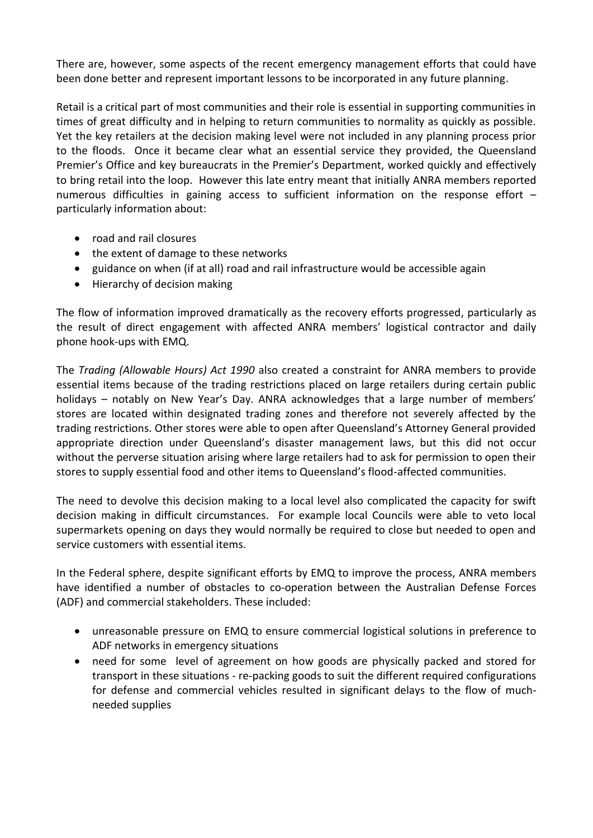There are, however, some aspects of the recent emergency management efforts that could have been done better and represent important lessons to be incorporated in any future planning.

Retail is a critical part of most communities and their role is essential in supporting communities in times of great difficulty and in helping to return communities to normality as quickly as possible. Yet the key retailers at the decision making level were not included in any planning process prior to the floods. Once it became clear what an essential service they provided, the Queensland Premier's Office and key bureaucrats in the Premier's Department, worked quickly and effectively to bring retail into the loop. However this late entry meant that initially ANRA members reported numerous difficulties in gaining access to sufficient information on the response effort – particularly information about:

- road and rail closures
- the extent of damage to these networks
- guidance on when (if at all) road and rail infrastructure would be accessible again
- Hierarchy of decision making

The flow of information improved dramatically as the recovery efforts progressed, particularly as the result of direct engagement with affected ANRA members' logistical contractor and daily phone hook-ups with EMQ.

The *Trading (Allowable Hours) Act 1990* also created a constraint for ANRA members to provide essential items because of the trading restrictions placed on large retailers during certain public holidays – notably on New Year's Day. ANRA acknowledges that a large number of members' stores are located within designated trading zones and therefore not severely affected by the trading restrictions. Other stores were able to open after Queensland's Attorney General provided appropriate direction under Queensland's disaster management laws, but this did not occur without the perverse situation arising where large retailers had to ask for permission to open their stores to supply essential food and other items to Queensland's flood-affected communities.

The need to devolve this decision making to a local level also complicated the capacity for swift decision making in difficult circumstances. For example local Councils were able to veto local supermarkets opening on days they would normally be required to close but needed to open and service customers with essential items.

In the Federal sphere, despite significant efforts by EMQ to improve the process, ANRA members have identified a number of obstacles to co-operation between the Australian Defense Forces (ADF) and commercial stakeholders. These included:

- unreasonable pressure on EMQ to ensure commercial logistical solutions in preference to ADF networks in emergency situations
- need for some level of agreement on how goods are physically packed and stored for transport in these situations - re-packing goods to suit the different required configurations for defense and commercial vehicles resulted in significant delays to the flow of muchneeded supplies